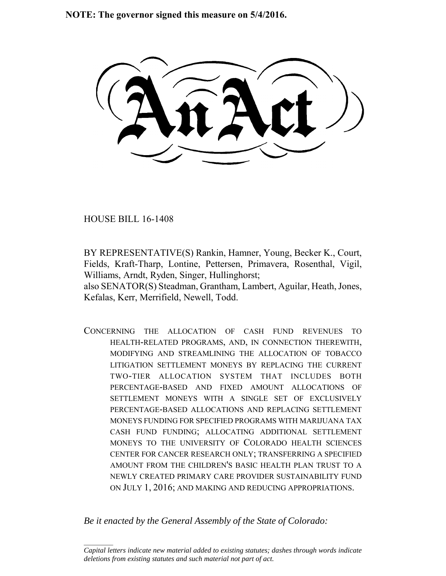**NOTE: The governor signed this measure on 5/4/2016.**

HOUSE BILL 16-1408

 $\frac{1}{2}$ 

BY REPRESENTATIVE(S) Rankin, Hamner, Young, Becker K., Court, Fields, Kraft-Tharp, Lontine, Pettersen, Primavera, Rosenthal, Vigil, Williams, Arndt, Ryden, Singer, Hullinghorst;

also SENATOR(S) Steadman, Grantham, Lambert, Aguilar, Heath, Jones, Kefalas, Kerr, Merrifield, Newell, Todd.

CONCERNING THE ALLOCATION OF CASH FUND REVENUES TO HEALTH-RELATED PROGRAMS, AND, IN CONNECTION THEREWITH, MODIFYING AND STREAMLINING THE ALLOCATION OF TOBACCO LITIGATION SETTLEMENT MONEYS BY REPLACING THE CURRENT TWO-TIER ALLOCATION SYSTEM THAT INCLUDES BOTH PERCENTAGE-BASED AND FIXED AMOUNT ALLOCATIONS OF SETTLEMENT MONEYS WITH A SINGLE SET OF EXCLUSIVELY PERCENTAGE-BASED ALLOCATIONS AND REPLACING SETTLEMENT MONEYS FUNDING FOR SPECIFIED PROGRAMS WITH MARIJUANA TAX CASH FUND FUNDING; ALLOCATING ADDITIONAL SETTLEMENT MONEYS TO THE UNIVERSITY OF COLORADO HEALTH SCIENCES CENTER FOR CANCER RESEARCH ONLY; TRANSFERRING A SPECIFIED AMOUNT FROM THE CHILDREN'S BASIC HEALTH PLAN TRUST TO A NEWLY CREATED PRIMARY CARE PROVIDER SUSTAINABILITY FUND ON JULY 1, 2016; AND MAKING AND REDUCING APPROPRIATIONS.

*Be it enacted by the General Assembly of the State of Colorado:*

*Capital letters indicate new material added to existing statutes; dashes through words indicate deletions from existing statutes and such material not part of act.*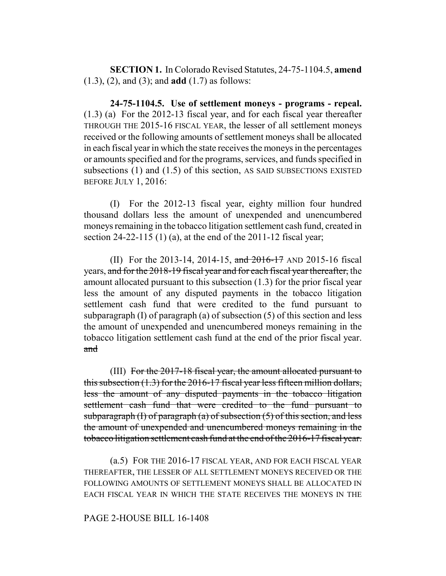**SECTION 1.** In Colorado Revised Statutes, 24-75-1104.5, **amend** (1.3), (2), and (3); and **add** (1.7) as follows:

**24-75-1104.5. Use of settlement moneys - programs - repeal.** (1.3) (a) For the 2012-13 fiscal year, and for each fiscal year thereafter THROUGH THE 2015-16 FISCAL YEAR, the lesser of all settlement moneys received or the following amounts of settlement moneys shall be allocated in each fiscal year in which the state receives the moneys in the percentages or amounts specified and for the programs, services, and funds specified in subsections (1) and (1.5) of this section, AS SAID SUBSECTIONS EXISTED BEFORE JULY 1, 2016:

(I) For the 2012-13 fiscal year, eighty million four hundred thousand dollars less the amount of unexpended and unencumbered moneys remaining in the tobacco litigation settlement cash fund, created in section 24-22-115 (1) (a), at the end of the 2011-12 fiscal year;

(II) For the 2013-14, 2014-15, and 2016-17 AND 2015-16 fiscal years, and for the 2018-19 fiscal year and for each fiscal year thereafter, the amount allocated pursuant to this subsection (1.3) for the prior fiscal year less the amount of any disputed payments in the tobacco litigation settlement cash fund that were credited to the fund pursuant to subparagraph (I) of paragraph (a) of subsection (5) of this section and less the amount of unexpended and unencumbered moneys remaining in the tobacco litigation settlement cash fund at the end of the prior fiscal year. and

(III) For the 2017-18 fiscal year, the amount allocated pursuant to this subsection (1.3) for the 2016-17 fiscal year less fifteen million dollars, less the amount of any disputed payments in the tobacco litigation settlement cash fund that were credited to the fund pursuant to subparagraph  $(I)$  of paragraph  $(a)$  of subsection  $(5)$  of this section, and less the amount of unexpended and unencumbered moneys remaining in the tobacco litigation settlement cash fund at the end of the 2016-17 fiscal year.

(a.5) FOR THE 2016-17 FISCAL YEAR, AND FOR EACH FISCAL YEAR THEREAFTER, THE LESSER OF ALL SETTLEMENT MONEYS RECEIVED OR THE FOLLOWING AMOUNTS OF SETTLEMENT MONEYS SHALL BE ALLOCATED IN EACH FISCAL YEAR IN WHICH THE STATE RECEIVES THE MONEYS IN THE

#### PAGE 2-HOUSE BILL 16-1408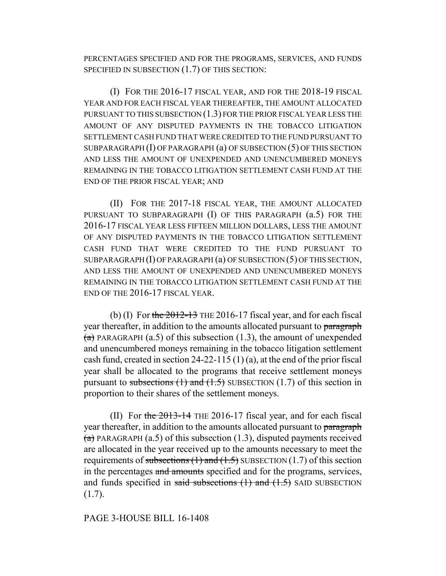PERCENTAGES SPECIFIED AND FOR THE PROGRAMS, SERVICES, AND FUNDS SPECIFIED IN SUBSECTION (1.7) OF THIS SECTION:

(I) FOR THE 2016-17 FISCAL YEAR, AND FOR THE 2018-19 FISCAL YEAR AND FOR EACH FISCAL YEAR THEREAFTER, THE AMOUNT ALLOCATED PURSUANT TO THIS SUBSECTION (1.3) FOR THE PRIOR FISCAL YEAR LESS THE AMOUNT OF ANY DISPUTED PAYMENTS IN THE TOBACCO LITIGATION SETTLEMENT CASH FUND THAT WERE CREDITED TO THE FUND PURSUANT TO SUBPARAGRAPH (I) OF PARAGRAPH (a) OF SUBSECTION (5) OF THIS SECTION AND LESS THE AMOUNT OF UNEXPENDED AND UNENCUMBERED MONEYS REMAINING IN THE TOBACCO LITIGATION SETTLEMENT CASH FUND AT THE END OF THE PRIOR FISCAL YEAR; AND

(II) FOR THE 2017-18 FISCAL YEAR, THE AMOUNT ALLOCATED PURSUANT TO SUBPARAGRAPH (I) OF THIS PARAGRAPH  $(a.5)$  FOR THE 2016-17 FISCAL YEAR LESS FIFTEEN MILLION DOLLARS, LESS THE AMOUNT OF ANY DISPUTED PAYMENTS IN THE TOBACCO LITIGATION SETTLEMENT CASH FUND THAT WERE CREDITED TO THE FUND PURSUANT TO SUBPARAGRAPH (I) OF PARAGRAPH (a) OF SUBSECTION (5) OF THIS SECTION, AND LESS THE AMOUNT OF UNEXPENDED AND UNENCUMBERED MONEYS REMAINING IN THE TOBACCO LITIGATION SETTLEMENT CASH FUND AT THE END OF THE 2016-17 FISCAL YEAR.

(b) (I) For the  $2012-13$  THE 2016-17 fiscal year, and for each fiscal year thereafter, in addition to the amounts allocated pursuant to paragraph  $(a)$  PARAGRAPH (a.5) of this subsection (1.3), the amount of unexpended and unencumbered moneys remaining in the tobacco litigation settlement cash fund, created in section 24-22-115 (1) (a), at the end of the prior fiscal year shall be allocated to the programs that receive settlement moneys pursuant to subsections  $(1)$  and  $(1.5)$  SUBSECTION  $(1.7)$  of this section in proportion to their shares of the settlement moneys.

(II) For the  $2013-14$  THE 2016-17 fiscal year, and for each fiscal year thereafter, in addition to the amounts allocated pursuant to paragraph  $(a)$  PARAGRAPH (a.5) of this subsection (1.3), disputed payments received are allocated in the year received up to the amounts necessary to meet the requirements of subsections  $(1)$  and  $(1.5)$  SUBSECTION  $(1.7)$  of this section in the percentages and amounts specified and for the programs, services, and funds specified in said subsections  $(1)$  and  $(1.5)$  SAID SUBSECTION  $(1.7)$ .

## PAGE 3-HOUSE BILL 16-1408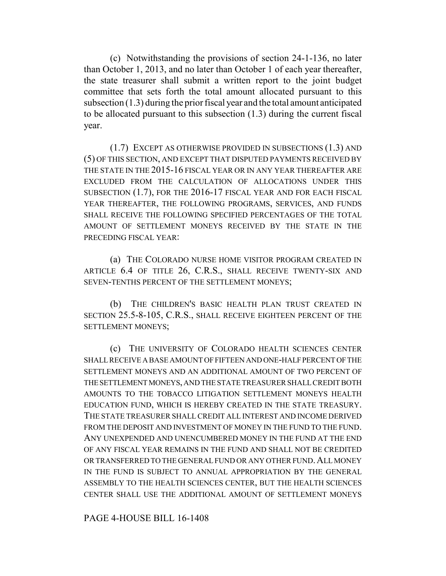(c) Notwithstanding the provisions of section 24-1-136, no later than October 1, 2013, and no later than October 1 of each year thereafter, the state treasurer shall submit a written report to the joint budget committee that sets forth the total amount allocated pursuant to this subsection (1.3) during the prior fiscal year and the total amount anticipated to be allocated pursuant to this subsection (1.3) during the current fiscal year.

(1.7) EXCEPT AS OTHERWISE PROVIDED IN SUBSECTIONS (1.3) AND (5) OF THIS SECTION, AND EXCEPT THAT DISPUTED PAYMENTS RECEIVED BY THE STATE IN THE 2015-16 FISCAL YEAR OR IN ANY YEAR THEREAFTER ARE EXCLUDED FROM THE CALCULATION OF ALLOCATIONS UNDER THIS SUBSECTION (1.7), FOR THE 2016-17 FISCAL YEAR AND FOR EACH FISCAL YEAR THEREAFTER, THE FOLLOWING PROGRAMS, SERVICES, AND FUNDS SHALL RECEIVE THE FOLLOWING SPECIFIED PERCENTAGES OF THE TOTAL AMOUNT OF SETTLEMENT MONEYS RECEIVED BY THE STATE IN THE PRECEDING FISCAL YEAR:

(a) THE COLORADO NURSE HOME VISITOR PROGRAM CREATED IN ARTICLE 6.4 OF TITLE 26, C.R.S., SHALL RECEIVE TWENTY-SIX AND SEVEN-TENTHS PERCENT OF THE SETTLEMENT MONEYS;

(b) THE CHILDREN'S BASIC HEALTH PLAN TRUST CREATED IN SECTION 25.5-8-105, C.R.S., SHALL RECEIVE EIGHTEEN PERCENT OF THE SETTLEMENT MONEYS;

(c) THE UNIVERSITY OF COLORADO HEALTH SCIENCES CENTER SHALL RECEIVE A BASE AMOUNT OF FIFTEEN AND ONE-HALF PERCENT OF THE SETTLEMENT MONEYS AND AN ADDITIONAL AMOUNT OF TWO PERCENT OF THE SETTLEMENT MONEYS, AND THE STATE TREASURER SHALL CREDIT BOTH AMOUNTS TO THE TOBACCO LITIGATION SETTLEMENT MONEYS HEALTH EDUCATION FUND, WHICH IS HEREBY CREATED IN THE STATE TREASURY. THE STATE TREASURER SHALL CREDIT ALL INTEREST AND INCOME DERIVED FROM THE DEPOSIT AND INVESTMENT OF MONEY IN THE FUND TO THE FUND. ANY UNEXPENDED AND UNENCUMBERED MONEY IN THE FUND AT THE END OF ANY FISCAL YEAR REMAINS IN THE FUND AND SHALL NOT BE CREDITED OR TRANSFERRED TO THE GENERAL FUND OR ANY OTHER FUND. ALL MONEY IN THE FUND IS SUBJECT TO ANNUAL APPROPRIATION BY THE GENERAL ASSEMBLY TO THE HEALTH SCIENCES CENTER, BUT THE HEALTH SCIENCES CENTER SHALL USE THE ADDITIONAL AMOUNT OF SETTLEMENT MONEYS

PAGE 4-HOUSE BILL 16-1408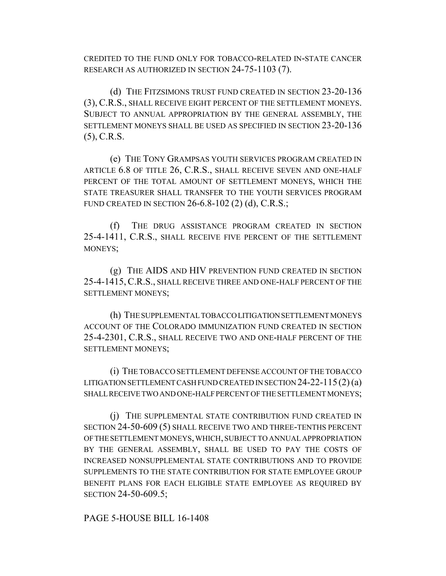CREDITED TO THE FUND ONLY FOR TOBACCO-RELATED IN-STATE CANCER RESEARCH AS AUTHORIZED IN SECTION 24-75-1103 (7).

(d) THE FITZSIMONS TRUST FUND CREATED IN SECTION 23-20-136 (3), C.R.S., SHALL RECEIVE EIGHT PERCENT OF THE SETTLEMENT MONEYS. SUBJECT TO ANNUAL APPROPRIATION BY THE GENERAL ASSEMBLY, THE SETTLEMENT MONEYS SHALL BE USED AS SPECIFIED IN SECTION 23-20-136 (5), C.R.S.

(e) THE TONY GRAMPSAS YOUTH SERVICES PROGRAM CREATED IN ARTICLE 6.8 OF TITLE 26, C.R.S., SHALL RECEIVE SEVEN AND ONE-HALF PERCENT OF THE TOTAL AMOUNT OF SETTLEMENT MONEYS, WHICH THE STATE TREASURER SHALL TRANSFER TO THE YOUTH SERVICES PROGRAM FUND CREATED IN SECTION 26-6.8-102 (2) (d), C.R.S.;

(f) THE DRUG ASSISTANCE PROGRAM CREATED IN SECTION 25-4-1411, C.R.S., SHALL RECEIVE FIVE PERCENT OF THE SETTLEMENT MONEYS;

(g) THE AIDS AND HIV PREVENTION FUND CREATED IN SECTION 25-4-1415, C.R.S., SHALL RECEIVE THREE AND ONE-HALF PERCENT OF THE SETTLEMENT MONEYS;

(h) THE SUPPLEMENTAL TOBACCO LITIGATION SETTLEMENT MONEYS ACCOUNT OF THE COLORADO IMMUNIZATION FUND CREATED IN SECTION 25-4-2301, C.R.S., SHALL RECEIVE TWO AND ONE-HALF PERCENT OF THE SETTLEMENT MONEYS;

(i) THE TOBACCO SETTLEMENT DEFENSE ACCOUNT OF THE TOBACCO LITIGATION SETTLEMENT CASH FUND CREATED IN SECTION  $24-22-115(2)(a)$ SHALL RECEIVE TWO AND ONE-HALF PERCENT OF THE SETTLEMENT MONEYS;

(j) THE SUPPLEMENTAL STATE CONTRIBUTION FUND CREATED IN SECTION 24-50-609 (5) SHALL RECEIVE TWO AND THREE-TENTHS PERCENT OF THE SETTLEMENT MONEYS, WHICH, SUBJECT TO ANNUAL APPROPRIATION BY THE GENERAL ASSEMBLY, SHALL BE USED TO PAY THE COSTS OF INCREASED NONSUPPLEMENTAL STATE CONTRIBUTIONS AND TO PROVIDE SUPPLEMENTS TO THE STATE CONTRIBUTION FOR STATE EMPLOYEE GROUP BENEFIT PLANS FOR EACH ELIGIBLE STATE EMPLOYEE AS REQUIRED BY SECTION 24-50-609.5;

PAGE 5-HOUSE BILL 16-1408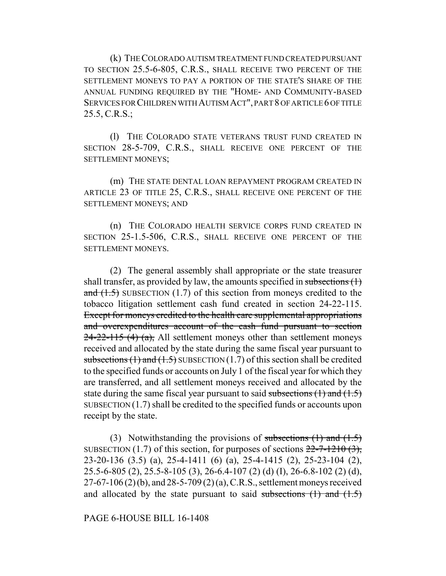(k) THE COLORADO AUTISM TREATMENT FUND CREATED PURSUANT TO SECTION 25.5-6-805, C.R.S., SHALL RECEIVE TWO PERCENT OF THE SETTLEMENT MONEYS TO PAY A PORTION OF THE STATE'S SHARE OF THE ANNUAL FUNDING REQUIRED BY THE "HOME- AND COMMUNITY-BASED SERVICES FOR CHILDREN WITH AUTISM ACT", PART 8 OF ARTICLE 6 OF TITLE 25.5, C.R.S.;

(l) THE COLORADO STATE VETERANS TRUST FUND CREATED IN SECTION 28-5-709, C.R.S., SHALL RECEIVE ONE PERCENT OF THE SETTLEMENT MONEYS;

(m) THE STATE DENTAL LOAN REPAYMENT PROGRAM CREATED IN ARTICLE 23 OF TITLE 25, C.R.S., SHALL RECEIVE ONE PERCENT OF THE SETTLEMENT MONEYS; AND

(n) THE COLORADO HEALTH SERVICE CORPS FUND CREATED IN SECTION 25-1.5-506, C.R.S., SHALL RECEIVE ONE PERCENT OF THE SETTLEMENT MONEYS.

(2) The general assembly shall appropriate or the state treasurer shall transfer, as provided by law, the amounts specified in subsections  $(1)$ and  $(1.5)$  SUBSECTION  $(1.7)$  of this section from moneys credited to the tobacco litigation settlement cash fund created in section 24-22-115. Except for moneys credited to the health care supplemental appropriations and overexpenditures account of the cash fund pursuant to section  $24-22-115$  (4) (a), All settlement moneys other than settlement moneys received and allocated by the state during the same fiscal year pursuant to subsections  $(1)$  and  $(1.5)$  SUBSECTION  $(1.7)$  of this section shall be credited to the specified funds or accounts on July 1 of the fiscal year for which they are transferred, and all settlement moneys received and allocated by the state during the same fiscal year pursuant to said subsections  $(1)$  and  $(1.5)$ SUBSECTION (1.7) shall be credited to the specified funds or accounts upon receipt by the state.

(3) Notwithstanding the provisions of subsections  $(1)$  and  $(1.5)$ SUBSECTION (1.7) of this section, for purposes of sections  $22-7-1210(3)$ , 23-20-136 (3.5) (a), 25-4-1411 (6) (a), 25-4-1415 (2), 25-23-104 (2), 25.5-6-805 (2), 25.5-8-105 (3), 26-6.4-107 (2) (d) (I), 26-6.8-102 (2) (d), 27-67-106 (2) (b), and 28-5-709 (2) (a), C.R.S., settlement moneys received and allocated by the state pursuant to said subsections  $(1)$  and  $(1.5)$ 

PAGE 6-HOUSE BILL 16-1408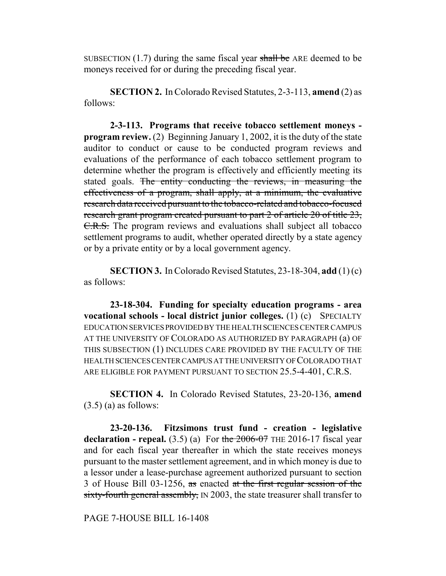SUBSECTION  $(1.7)$  during the same fiscal year shall be ARE deemed to be moneys received for or during the preceding fiscal year.

**SECTION 2.** In Colorado Revised Statutes, 2-3-113, **amend** (2) as follows:

**2-3-113. Programs that receive tobacco settlement moneys program review.** (2) Beginning January 1, 2002, it is the duty of the state auditor to conduct or cause to be conducted program reviews and evaluations of the performance of each tobacco settlement program to determine whether the program is effectively and efficiently meeting its stated goals. The entity conducting the reviews, in measuring the effectiveness of a program, shall apply, at a minimum, the evaluative research data received pursuant to the tobacco-related and tobacco-focused research grant program created pursuant to part 2 of article 20 of title 23, C.R.S. The program reviews and evaluations shall subject all tobacco settlement programs to audit, whether operated directly by a state agency or by a private entity or by a local government agency.

**SECTION 3.** In Colorado Revised Statutes, 23-18-304, **add** (1) (c) as follows:

**23-18-304. Funding for specialty education programs - area vocational schools - local district junior colleges.** (1) (c) SPECIALTY EDUCATION SERVICES PROVIDED BY THE HEALTH SCIENCES CENTER CAMPUS AT THE UNIVERSITY OF COLORADO AS AUTHORIZED BY PARAGRAPH (a) OF THIS SUBSECTION (1) INCLUDES CARE PROVIDED BY THE FACULTY OF THE HEALTH SCIENCES CENTER CAMPUS AT THE UNIVERSITY OF COLORADO THAT ARE ELIGIBLE FOR PAYMENT PURSUANT TO SECTION 25.5-4-401, C.R.S.

**SECTION 4.** In Colorado Revised Statutes, 23-20-136, **amend**  $(3.5)$  (a) as follows:

**23-20-136. Fitzsimons trust fund - creation - legislative declaration - repeal.** (3.5) (a) For the  $2006-07$  THE 2016-17 fiscal year and for each fiscal year thereafter in which the state receives moneys pursuant to the master settlement agreement, and in which money is due to a lessor under a lease-purchase agreement authorized pursuant to section 3 of House Bill 03-1256, as enacted at the first regular session of the sixty-fourth general assembly, IN 2003, the state treasurer shall transfer to

PAGE 7-HOUSE BILL 16-1408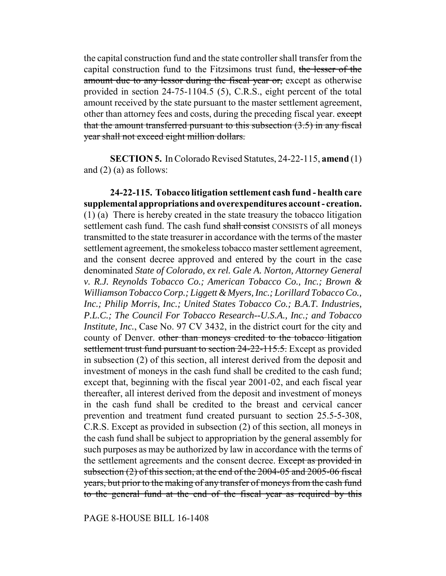the capital construction fund and the state controller shall transfer from the capital construction fund to the Fitzsimons trust fund, the lesser of the amount due to any lessor during the fiscal year or, except as otherwise provided in section 24-75-1104.5 (5), C.R.S., eight percent of the total amount received by the state pursuant to the master settlement agreement, other than attorney fees and costs, during the preceding fiscal year. except that the amount transferred pursuant to this subsection  $(3.5)$  in any fiscal year shall not exceed eight million dollars.

**SECTION 5.** In Colorado Revised Statutes, 24-22-115, **amend** (1) and  $(2)$  (a) as follows:

**24-22-115. Tobacco litigation settlement cash fund - health care supplemental appropriations and overexpenditures account - creation.** (1) (a) There is hereby created in the state treasury the tobacco litigation settlement cash fund. The cash fund shall consist CONSISTS of all moneys transmitted to the state treasurer in accordance with the terms of the master settlement agreement, the smokeless tobacco master settlement agreement, and the consent decree approved and entered by the court in the case denominated *State of Colorado, ex rel. Gale A. Norton, Attorney General v. R.J. Reynolds Tobacco Co.; American Tobacco Co., Inc.; Brown & Williamson Tobacco Corp.; Liggett & Myers, Inc.; Lorillard Tobacco Co., Inc.; Philip Morris, Inc.; United States Tobacco Co.; B.A.T. Industries, P.L.C.; The Council For Tobacco Research--U.S.A., Inc.; and Tobacco Institute, Inc.*, Case No. 97 CV 3432, in the district court for the city and county of Denver. other than moneys credited to the tobacco litigation settlement trust fund pursuant to section 24-22-115.5. Except as provided in subsection (2) of this section, all interest derived from the deposit and investment of moneys in the cash fund shall be credited to the cash fund; except that, beginning with the fiscal year 2001-02, and each fiscal year thereafter, all interest derived from the deposit and investment of moneys in the cash fund shall be credited to the breast and cervical cancer prevention and treatment fund created pursuant to section 25.5-5-308, C.R.S. Except as provided in subsection (2) of this section, all moneys in the cash fund shall be subject to appropriation by the general assembly for such purposes as may be authorized by law in accordance with the terms of the settlement agreements and the consent decree. Except as provided in subsection (2) of this section, at the end of the 2004-05 and 2005-06 fiscal years, but prior to the making of any transfer of moneys from the cash fund to the general fund at the end of the fiscal year as required by this

PAGE 8-HOUSE BILL 16-1408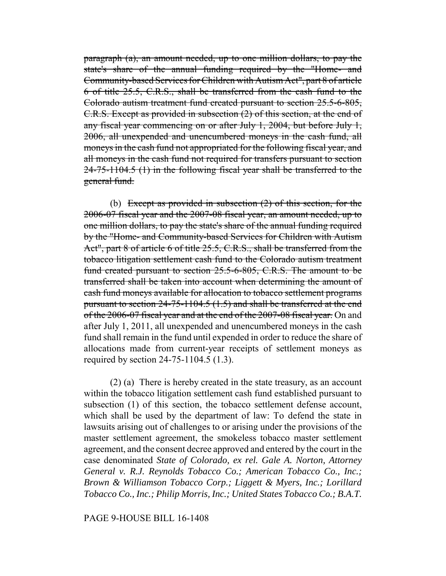paragraph (a), an amount needed, up to one million dollars, to pay the state's share of the annual funding required by the "Home- and Community-based Services for Children with Autism Act", part 8 of article 6 of title 25.5, C.R.S., shall be transferred from the cash fund to the Colorado autism treatment fund created pursuant to section 25.5-6-805, C.R.S. Except as provided in subsection (2) of this section, at the end of any fiscal year commencing on or after July 1, 2004, but before July 1, 2006, all unexpended and unencumbered moneys in the cash fund, all moneys in the cash fund not appropriated for the following fiscal year, and all moneys in the cash fund not required for transfers pursuant to section 24-75-1104.5 (1) in the following fiscal year shall be transferred to the general fund.

(b) Except as provided in subsection  $(2)$  of this section, for the 2006-07 fiscal year and the 2007-08 fiscal year, an amount needed, up to one million dollars, to pay the state's share of the annual funding required by the "Home- and Community-based Services for Children with Autism Act", part 8 of article 6 of title 25.5, C.R.S., shall be transferred from the tobacco litigation settlement cash fund to the Colorado autism treatment fund created pursuant to section 25.5-6-805, C.R.S. The amount to be transferred shall be taken into account when determining the amount of cash fund moneys available for allocation to tobacco settlement programs pursuant to section 24-75-1104.5 (1.5) and shall be transferred at the end of the 2006-07 fiscal year and at the end of the 2007-08 fiscal year. On and after July 1, 2011, all unexpended and unencumbered moneys in the cash fund shall remain in the fund until expended in order to reduce the share of allocations made from current-year receipts of settlement moneys as required by section 24-75-1104.5 (1.3).

(2) (a) There is hereby created in the state treasury, as an account within the tobacco litigation settlement cash fund established pursuant to subsection (1) of this section, the tobacco settlement defense account, which shall be used by the department of law: To defend the state in lawsuits arising out of challenges to or arising under the provisions of the master settlement agreement, the smokeless tobacco master settlement agreement, and the consent decree approved and entered by the court in the case denominated *State of Colorado, ex rel. Gale A. Norton, Attorney General v. R.J. Reynolds Tobacco Co.; American Tobacco Co., Inc.; Brown & Williamson Tobacco Corp.; Liggett & Myers, Inc.; Lorillard Tobacco Co., Inc.; Philip Morris, Inc.; United States Tobacco Co.; B.A.T.*

#### PAGE 9-HOUSE BILL 16-1408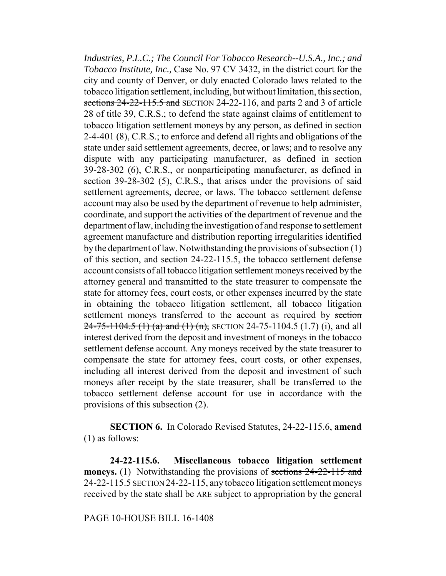*Industries, P.L.C.; The Council For Tobacco Research--U.S.A., Inc.; and Tobacco Institute, Inc.,* Case No. 97 CV 3432, in the district court for the city and county of Denver, or duly enacted Colorado laws related to the tobacco litigation settlement, including, but without limitation, this section, sections 24-22-115.5 and SECTION 24-22-116, and parts 2 and 3 of article 28 of title 39, C.R.S.; to defend the state against claims of entitlement to tobacco litigation settlement moneys by any person, as defined in section 2-4-401 (8), C.R.S.; to enforce and defend all rights and obligations of the state under said settlement agreements, decree, or laws; and to resolve any dispute with any participating manufacturer, as defined in section 39-28-302 (6), C.R.S., or nonparticipating manufacturer, as defined in section 39-28-302 (5), C.R.S., that arises under the provisions of said settlement agreements, decree, or laws. The tobacco settlement defense account may also be used by the department of revenue to help administer, coordinate, and support the activities of the department of revenue and the department of law, including the investigation of and response to settlement agreement manufacture and distribution reporting irregularities identified by the department of law. Notwithstanding the provisions of subsection (1) of this section, and section  $24-22-115.5$ , the tobacco settlement defense account consists of all tobacco litigation settlement moneys received by the attorney general and transmitted to the state treasurer to compensate the state for attorney fees, court costs, or other expenses incurred by the state in obtaining the tobacco litigation settlement, all tobacco litigation settlement moneys transferred to the account as required by section  $24-75-1104.5$  (1) (a) and (1) (n), SECTION 24-75-1104.5 (1.7) (i), and all interest derived from the deposit and investment of moneys in the tobacco settlement defense account. Any moneys received by the state treasurer to compensate the state for attorney fees, court costs, or other expenses, including all interest derived from the deposit and investment of such moneys after receipt by the state treasurer, shall be transferred to the tobacco settlement defense account for use in accordance with the provisions of this subsection (2).

**SECTION 6.** In Colorado Revised Statutes, 24-22-115.6, **amend** (1) as follows:

**24-22-115.6. Miscellaneous tobacco litigation settlement moneys.** (1) Notwithstanding the provisions of sections 24-22-115 and 24-22-115.5 SECTION 24-22-115, any tobacco litigation settlement moneys received by the state shall be ARE subject to appropriation by the general

## PAGE 10-HOUSE BILL 16-1408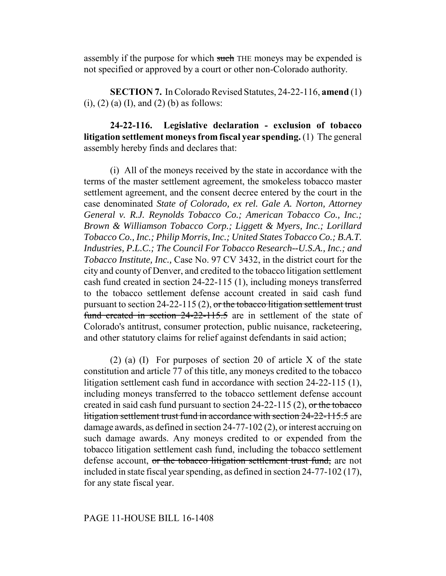assembly if the purpose for which such THE moneys may be expended is not specified or approved by a court or other non-Colorado authority.

**SECTION 7.** In Colorado Revised Statutes, 24-22-116, **amend** (1) (i), (2) (a) (I), and (2) (b) as follows:

**24-22-116. Legislative declaration - exclusion of tobacco litigation settlement moneys from fiscal year spending.** (1) The general assembly hereby finds and declares that:

(i) All of the moneys received by the state in accordance with the terms of the master settlement agreement, the smokeless tobacco master settlement agreement, and the consent decree entered by the court in the case denominated *State of Colorado, ex rel. Gale A. Norton, Attorney General v. R.J. Reynolds Tobacco Co.; American Tobacco Co., Inc.; Brown & Williamson Tobacco Corp.; Liggett & Myers, Inc.; Lorillard Tobacco Co., Inc.; Philip Morris, Inc.; United States Tobacco Co.; B.A.T. Industries, P.L.C.; The Council For Tobacco Research--U.S.A., Inc.; and Tobacco Institute, Inc.,* Case No. 97 CV 3432, in the district court for the city and county of Denver, and credited to the tobacco litigation settlement cash fund created in section 24-22-115 (1), including moneys transferred to the tobacco settlement defense account created in said cash fund pursuant to section 24-22-115 (2), or the tobacco litigation settlement trust fund created in section 24-22-115.5 are in settlement of the state of Colorado's antitrust, consumer protection, public nuisance, racketeering, and other statutory claims for relief against defendants in said action;

(2) (a) (I) For purposes of section 20 of article X of the state constitution and article 77 of this title, any moneys credited to the tobacco litigation settlement cash fund in accordance with section 24-22-115 (1), including moneys transferred to the tobacco settlement defense account created in said cash fund pursuant to section  $24-22-115(2)$ , or the tobacco litigation settlement trust fund in accordance with section 24-22-115.5 are damage awards, as defined in section 24-77-102 (2), or interest accruing on such damage awards. Any moneys credited to or expended from the tobacco litigation settlement cash fund, including the tobacco settlement defense account, or the tobacco litigation settlement trust fund, are not included in state fiscal year spending, as defined in section 24-77-102 (17), for any state fiscal year.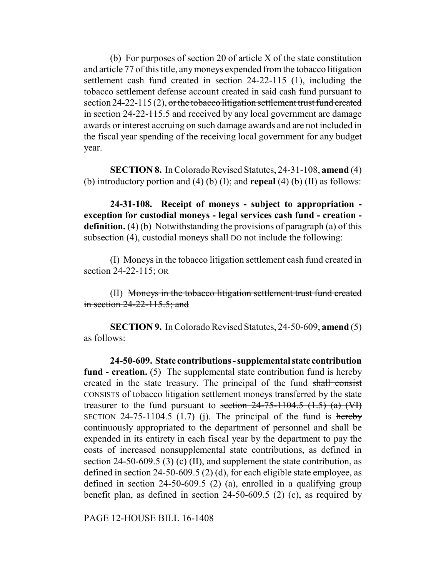(b) For purposes of section 20 of article X of the state constitution and article 77 of this title, any moneys expended from the tobacco litigation settlement cash fund created in section 24-22-115 (1), including the tobacco settlement defense account created in said cash fund pursuant to section 24-22-115 (2), or the tobacco litigation settlement trust fund created in section 24-22-115.5 and received by any local government are damage awards or interest accruing on such damage awards and are not included in the fiscal year spending of the receiving local government for any budget year.

**SECTION 8.** In Colorado Revised Statutes, 24-31-108, **amend** (4) (b) introductory portion and (4) (b) (I); and **repeal** (4) (b) (II) as follows:

**24-31-108. Receipt of moneys - subject to appropriation exception for custodial moneys - legal services cash fund - creation definition.** (4) (b) Notwithstanding the provisions of paragraph (a) of this subsection  $(4)$ , custodial moneys shall DO not include the following:

(I) Moneys in the tobacco litigation settlement cash fund created in section 24-22-115; OR

(II) Moneys in the tobacco litigation settlement trust fund created in section 24-22-115.5; and

**SECTION 9.** In Colorado Revised Statutes, 24-50-609, **amend** (5) as follows:

**24-50-609. State contributions - supplemental state contribution fund - creation.** (5) The supplemental state contribution fund is hereby created in the state treasury. The principal of the fund shall consist CONSISTS of tobacco litigation settlement moneys transferred by the state treasurer to the fund pursuant to section  $24-75-1104.5$   $(1.5)$   $(a)$   $(W)$ SECTION 24-75-1104.5 (1.7) (j). The principal of the fund is hereby continuously appropriated to the department of personnel and shall be expended in its entirety in each fiscal year by the department to pay the costs of increased nonsupplemental state contributions, as defined in section 24-50-609.5 (3) (c) (II), and supplement the state contribution, as defined in section 24-50-609.5 (2) (d), for each eligible state employee, as defined in section 24-50-609.5 (2) (a), enrolled in a qualifying group benefit plan, as defined in section 24-50-609.5 (2) (c), as required by

PAGE 12-HOUSE BILL 16-1408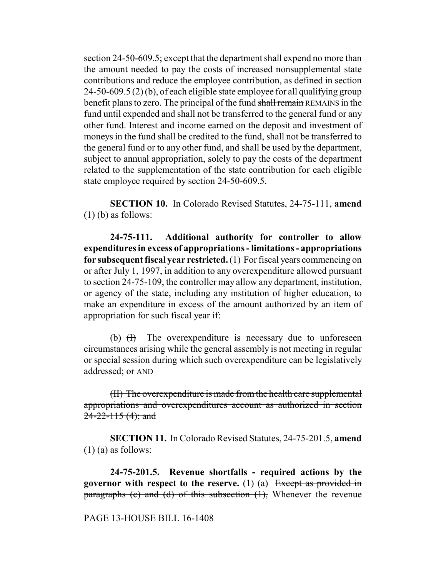section 24-50-609.5; except that the department shall expend no more than the amount needed to pay the costs of increased nonsupplemental state contributions and reduce the employee contribution, as defined in section 24-50-609.5 (2) (b), of each eligible state employee for all qualifying group benefit plans to zero. The principal of the fund shall remain REMAINS in the fund until expended and shall not be transferred to the general fund or any other fund. Interest and income earned on the deposit and investment of moneys in the fund shall be credited to the fund, shall not be transferred to the general fund or to any other fund, and shall be used by the department, subject to annual appropriation, solely to pay the costs of the department related to the supplementation of the state contribution for each eligible state employee required by section 24-50-609.5.

**SECTION 10.** In Colorado Revised Statutes, 24-75-111, **amend**  $(1)$  (b) as follows:

**24-75-111. Additional authority for controller to allow expenditures in excess of appropriations - limitations - appropriations for subsequent fiscal year restricted.** (1) For fiscal years commencing on or after July 1, 1997, in addition to any overexpenditure allowed pursuant to section 24-75-109, the controller may allow any department, institution, or agency of the state, including any institution of higher education, to make an expenditure in excess of the amount authorized by an item of appropriation for such fiscal year if:

(b)  $(H)$  The overexpenditure is necessary due to unforeseen circumstances arising while the general assembly is not meeting in regular or special session during which such overexpenditure can be legislatively addressed; or AND

(II) The overexpenditure is made from the health care supplemental appropriations and overexpenditures account as authorized in section  $24 - 22 - 115$  (4); and

**SECTION 11.** In Colorado Revised Statutes, 24-75-201.5, **amend** (1) (a) as follows:

**24-75-201.5. Revenue shortfalls - required actions by the governor with respect to the reserve.** (1) (a) Except as provided in paragraphs (c) and (d) of this subsection  $(1)$ . Whenever the revenue

#### PAGE 13-HOUSE BILL 16-1408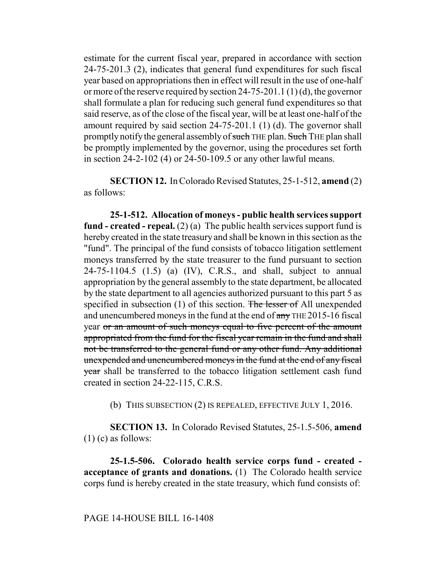estimate for the current fiscal year, prepared in accordance with section 24-75-201.3 (2), indicates that general fund expenditures for such fiscal year based on appropriations then in effect will result in the use of one-half or more of the reserve required by section 24-75-201.1 (1) (d), the governor shall formulate a plan for reducing such general fund expenditures so that said reserve, as of the close of the fiscal year, will be at least one-half of the amount required by said section 24-75-201.1 (1) (d). The governor shall promptly notify the general assembly of such THE plan. Such THE plan shall be promptly implemented by the governor, using the procedures set forth in section 24-2-102 (4) or 24-50-109.5 or any other lawful means.

**SECTION 12.** In Colorado Revised Statutes, 25-1-512, **amend** (2) as follows:

**25-1-512. Allocation of moneys - public health services support fund - created - repeal.** (2) (a) The public health services support fund is hereby created in the state treasury and shall be known in this section as the "fund". The principal of the fund consists of tobacco litigation settlement moneys transferred by the state treasurer to the fund pursuant to section 24-75-1104.5 (1.5) (a) (IV), C.R.S., and shall, subject to annual appropriation by the general assembly to the state department, be allocated by the state department to all agencies authorized pursuant to this part 5 as specified in subsection (1) of this section. The lesser of All unexpended and unencumbered moneys in the fund at the end of any THE 2015-16 fiscal year or an amount of such moneys equal to five percent of the amount appropriated from the fund for the fiscal year remain in the fund and shall not be transferred to the general fund or any other fund. Any additional unexpended and unencumbered moneys in the fund at the end of any fiscal year shall be transferred to the tobacco litigation settlement cash fund created in section 24-22-115, C.R.S.

(b) THIS SUBSECTION (2) IS REPEALED, EFFECTIVE JULY 1, 2016.

**SECTION 13.** In Colorado Revised Statutes, 25-1.5-506, **amend**  $(1)$  (c) as follows:

**25-1.5-506. Colorado health service corps fund - created acceptance of grants and donations.** (1) The Colorado health service corps fund is hereby created in the state treasury, which fund consists of: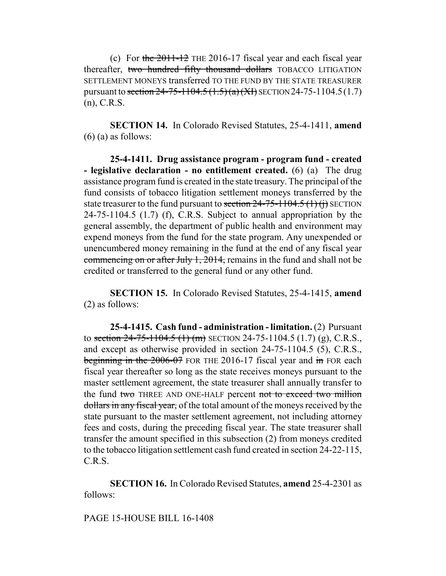(c) For the  $2011-12$  THE 2016-17 fiscal year and each fiscal year thereafter, two hundred fifty thousand dollars TOBACCO LITIGATION SETTLEMENT MONEYS transferred TO THE FUND BY THE STATE TREASURER pursuant to section  $24-75-1104.5(1.5)(a)(XI)$  SECTION 24-75-1104.5(1.7) (n), C.R.S.

**SECTION 14.** In Colorado Revised Statutes, 25-4-1411, **amend**  $(6)$  (a) as follows:

**25-4-1411. Drug assistance program - program fund - created - legislative declaration - no entitlement created.** (6) (a) The drug assistance program fund is created in the state treasury. The principal of the fund consists of tobacco litigation settlement moneys transferred by the state treasurer to the fund pursuant to section  $24-75-1104.5$  (1) (i) SECTION 24-75-1104.5 (1.7) (f), C.R.S. Subject to annual appropriation by the general assembly, the department of public health and environment may expend moneys from the fund for the state program. Any unexpended or unencumbered money remaining in the fund at the end of any fiscal year commencing on or after July 1, 2014, remains in the fund and shall not be credited or transferred to the general fund or any other fund.

**SECTION 15.** In Colorado Revised Statutes, 25-4-1415, **amend** (2) as follows:

**25-4-1415. Cash fund - administration - limitation.** (2) Pursuant to section  $24-75-1104.5$  (1) (m) SECTION 24-75-1104.5 (1.7) (g), C.R.S., and except as otherwise provided in section 24-75-1104.5 (5), C.R.S., beginning in the 2006-07 FOR THE 2016-17 fiscal year and in FOR each fiscal year thereafter so long as the state receives moneys pursuant to the master settlement agreement, the state treasurer shall annually transfer to the fund two THREE AND ONE-HALF percent not to exceed two million dollars in any fiscal year, of the total amount of the moneys received by the state pursuant to the master settlement agreement, not including attorney fees and costs, during the preceding fiscal year. The state treasurer shall transfer the amount specified in this subsection (2) from moneys credited to the tobacco litigation settlement cash fund created in section 24-22-115, C.R.S.

**SECTION 16.** In Colorado Revised Statutes, **amend** 25-4-2301 as follows:

## PAGE 15-HOUSE BILL 16-1408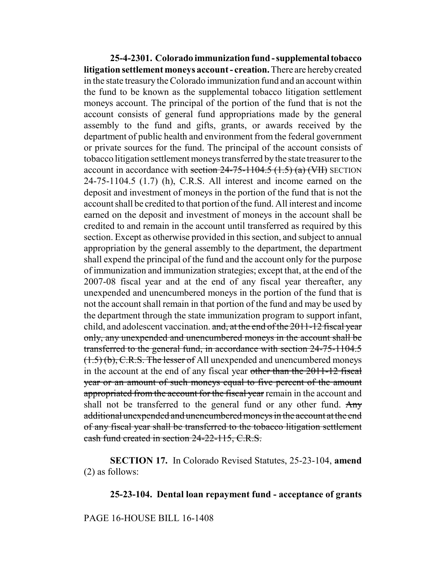**25-4-2301. Colorado immunization fund - supplemental tobacco litigation settlement moneys account - creation.** There are hereby created in the state treasury the Colorado immunization fund and an account within the fund to be known as the supplemental tobacco litigation settlement moneys account. The principal of the portion of the fund that is not the account consists of general fund appropriations made by the general assembly to the fund and gifts, grants, or awards received by the department of public health and environment from the federal government or private sources for the fund. The principal of the account consists of tobacco litigation settlement moneys transferred by the state treasurer to the account in accordance with section  $24-75-1104.5$   $(1.5)$   $(a)$   $(WH)$  SECTION 24-75-1104.5 (1.7) (h), C.R.S. All interest and income earned on the deposit and investment of moneys in the portion of the fund that is not the account shall be credited to that portion of the fund. All interest and income earned on the deposit and investment of moneys in the account shall be credited to and remain in the account until transferred as required by this section. Except as otherwise provided in this section, and subject to annual appropriation by the general assembly to the department, the department shall expend the principal of the fund and the account only for the purpose of immunization and immunization strategies; except that, at the end of the 2007-08 fiscal year and at the end of any fiscal year thereafter, any unexpended and unencumbered moneys in the portion of the fund that is not the account shall remain in that portion of the fund and may be used by the department through the state immunization program to support infant, child, and adolescent vaccination. and, at the end of the 2011-12 fiscal year only, any unexpended and unencumbered moneys in the account shall be transferred to the general fund, in accordance with section 24-75-1104.5 (1.5) (b), C.R.S. The lesser of All unexpended and unencumbered moneys in the account at the end of any fiscal year other than the 2011-12 fiscal year or an amount of such moneys equal to five percent of the amount appropriated from the account for the fiscal year remain in the account and shall not be transferred to the general fund or any other fund. Any additional unexpended and unencumbered moneys in the account at the end of any fiscal year shall be transferred to the tobacco litigation settlement cash fund created in section 24-22-115, C.R.S.

**SECTION 17.** In Colorado Revised Statutes, 25-23-104, **amend** (2) as follows:

### **25-23-104. Dental loan repayment fund - acceptance of grants**

## PAGE 16-HOUSE BILL 16-1408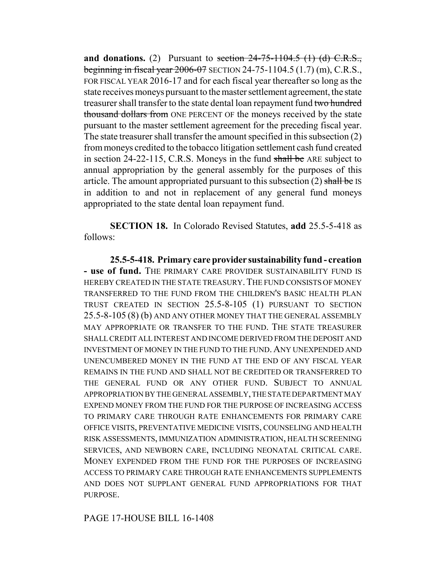**and donations.** (2) Pursuant to section  $24-75-1104.5$  (1) (d) C.R.S., beginning in fiscal year 2006-07 SECTION 24-75-1104.5 (1.7) (m), C.R.S., FOR FISCAL YEAR 2016-17 and for each fiscal year thereafter so long as the state receives moneys pursuant to the master settlement agreement, the state treasurer shall transfer to the state dental loan repayment fund two hundred thousand dollars from ONE PERCENT OF the moneys received by the state pursuant to the master settlement agreement for the preceding fiscal year. The state treasurer shall transfer the amount specified in this subsection (2) from moneys credited to the tobacco litigation settlement cash fund created in section 24-22-115, C.R.S. Moneys in the fund shall be ARE subject to annual appropriation by the general assembly for the purposes of this article. The amount appropriated pursuant to this subsection  $(2)$  shall be IS in addition to and not in replacement of any general fund moneys appropriated to the state dental loan repayment fund.

**SECTION 18.** In Colorado Revised Statutes, **add** 25.5-5-418 as follows:

**25.5-5-418. Primary care provider sustainability fund - creation - use of fund.** THE PRIMARY CARE PROVIDER SUSTAINABILITY FUND IS HEREBY CREATED IN THE STATE TREASURY. THE FUND CONSISTS OF MONEY TRANSFERRED TO THE FUND FROM THE CHILDREN'S BASIC HEALTH PLAN TRUST CREATED IN SECTION 25.5-8-105 (1) PURSUANT TO SECTION 25.5-8-105 (8) (b) AND ANY OTHER MONEY THAT THE GENERAL ASSEMBLY MAY APPROPRIATE OR TRANSFER TO THE FUND. THE STATE TREASURER SHALL CREDIT ALL INTEREST AND INCOME DERIVED FROM THE DEPOSIT AND INVESTMENT OF MONEY IN THE FUND TO THE FUND. ANY UNEXPENDED AND UNENCUMBERED MONEY IN THE FUND AT THE END OF ANY FISCAL YEAR REMAINS IN THE FUND AND SHALL NOT BE CREDITED OR TRANSFERRED TO THE GENERAL FUND OR ANY OTHER FUND. SUBJECT TO ANNUAL APPROPRIATION BY THE GENERAL ASSEMBLY, THE STATE DEPARTMENT MAY EXPEND MONEY FROM THE FUND FOR THE PURPOSE OF INCREASING ACCESS TO PRIMARY CARE THROUGH RATE ENHANCEMENTS FOR PRIMARY CARE OFFICE VISITS, PREVENTATIVE MEDICINE VISITS, COUNSELING AND HEALTH RISK ASSESSMENTS, IMMUNIZATION ADMINISTRATION, HEALTH SCREENING SERVICES, AND NEWBORN CARE, INCLUDING NEONATAL CRITICAL CARE. MONEY EXPENDED FROM THE FUND FOR THE PURPOSES OF INCREASING ACCESS TO PRIMARY CARE THROUGH RATE ENHANCEMENTS SUPPLEMENTS AND DOES NOT SUPPLANT GENERAL FUND APPROPRIATIONS FOR THAT PURPOSE.

PAGE 17-HOUSE BILL 16-1408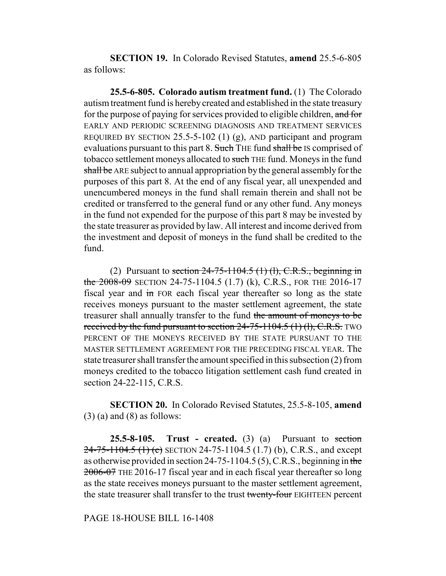**SECTION 19.** In Colorado Revised Statutes, **amend** 25.5-6-805 as follows:

**25.5-6-805. Colorado autism treatment fund.** (1) The Colorado autism treatment fund is hereby created and established in the state treasury for the purpose of paying for services provided to eligible children, and for EARLY AND PERIODIC SCREENING DIAGNOSIS AND TREATMENT SERVICES REQUIRED BY SECTION 25.5-5-102 (1) (g), AND participant and program evaluations pursuant to this part 8. Such THE fund shall be IS comprised of tobacco settlement moneys allocated to such THE fund. Moneys in the fund shall be ARE subject to annual appropriation by the general assembly for the purposes of this part 8. At the end of any fiscal year, all unexpended and unencumbered moneys in the fund shall remain therein and shall not be credited or transferred to the general fund or any other fund. Any moneys in the fund not expended for the purpose of this part 8 may be invested by the state treasurer as provided by law. All interest and income derived from the investment and deposit of moneys in the fund shall be credited to the fund.

(2) Pursuant to section  $24-75-1104.5$  (1) (1), C.R.S., beginning in the 2008-09 SECTION 24-75-1104.5 (1.7) (k), C.R.S., FOR THE 2016-17 fiscal year and in FOR each fiscal year thereafter so long as the state receives moneys pursuant to the master settlement agreement, the state treasurer shall annually transfer to the fund the amount of moneys to be received by the fund pursuant to section  $24-75-1104.5$  (1) (1), C.R.S. TWO PERCENT OF THE MONEYS RECEIVED BY THE STATE PURSUANT TO THE MASTER SETTLEMENT AGREEMENT FOR THE PRECEDING FISCAL YEAR. The state treasurer shall transfer the amount specified in this subsection (2) from moneys credited to the tobacco litigation settlement cash fund created in section 24-22-115, C.R.S.

**SECTION 20.** In Colorado Revised Statutes, 25.5-8-105, **amend**  $(3)$  (a) and  $(8)$  as follows:

**25.5-8-105.** Trust - created.  $(3)$   $(a)$  Pursuant to section 24-75-1104.5 (1) (e) SECTION 24-75-1104.5 (1.7) (b), C.R.S., and except as otherwise provided in section 24-75-1104.5 (5), C.R.S., beginning in the 2006-07 THE 2016-17 fiscal year and in each fiscal year thereafter so long as the state receives moneys pursuant to the master settlement agreement, the state treasurer shall transfer to the trust twenty-four EIGHTEEN percent

PAGE 18-HOUSE BILL 16-1408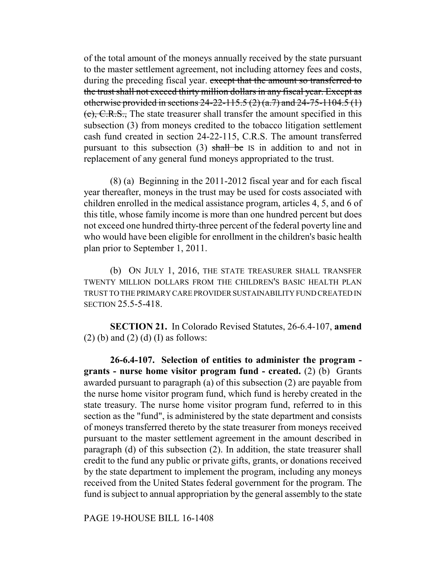of the total amount of the moneys annually received by the state pursuant to the master settlement agreement, not including attorney fees and costs, during the preceding fiscal year. except that the amount so transferred to the trust shall not exceed thirty million dollars in any fiscal year. Except as otherwise provided in sections 24-22-115.5 (2) (a.7) and 24-75-1104.5 (1) (c), C.R.S., The state treasurer shall transfer the amount specified in this subsection (3) from moneys credited to the tobacco litigation settlement cash fund created in section 24-22-115, C.R.S. The amount transferred pursuant to this subsection  $(3)$  shall be IS in addition to and not in replacement of any general fund moneys appropriated to the trust.

(8) (a) Beginning in the 2011-2012 fiscal year and for each fiscal year thereafter, moneys in the trust may be used for costs associated with children enrolled in the medical assistance program, articles 4, 5, and 6 of this title, whose family income is more than one hundred percent but does not exceed one hundred thirty-three percent of the federal poverty line and who would have been eligible for enrollment in the children's basic health plan prior to September 1, 2011.

(b) ON JULY 1, 2016, THE STATE TREASURER SHALL TRANSFER TWENTY MILLION DOLLARS FROM THE CHILDREN'S BASIC HEALTH PLAN TRUST TO THE PRIMARY CARE PROVIDER SUSTAINABILITY FUND CREATED IN SECTION 25.5-5-418.

**SECTION 21.** In Colorado Revised Statutes, 26-6.4-107, **amend**  $(2)$  (b) and  $(2)$  (d) (I) as follows:

**26-6.4-107. Selection of entities to administer the program grants - nurse home visitor program fund - created.** (2) (b) Grants awarded pursuant to paragraph (a) of this subsection (2) are payable from the nurse home visitor program fund, which fund is hereby created in the state treasury. The nurse home visitor program fund, referred to in this section as the "fund", is administered by the state department and consists of moneys transferred thereto by the state treasurer from moneys received pursuant to the master settlement agreement in the amount described in paragraph (d) of this subsection (2). In addition, the state treasurer shall credit to the fund any public or private gifts, grants, or donations received by the state department to implement the program, including any moneys received from the United States federal government for the program. The fund is subject to annual appropriation by the general assembly to the state

PAGE 19-HOUSE BILL 16-1408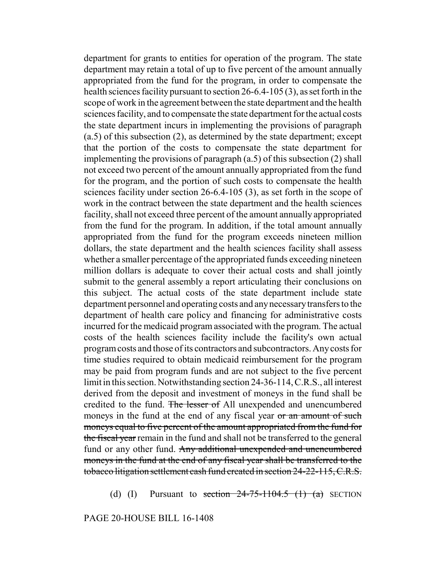department for grants to entities for operation of the program. The state department may retain a total of up to five percent of the amount annually appropriated from the fund for the program, in order to compensate the health sciences facility pursuant to section 26-6.4-105 (3), as set forth in the scope of work in the agreement between the state department and the health sciences facility, and to compensate the state department for the actual costs the state department incurs in implementing the provisions of paragraph (a.5) of this subsection (2), as determined by the state department; except that the portion of the costs to compensate the state department for implementing the provisions of paragraph (a.5) of this subsection (2) shall not exceed two percent of the amount annually appropriated from the fund for the program, and the portion of such costs to compensate the health sciences facility under section 26-6.4-105 (3), as set forth in the scope of work in the contract between the state department and the health sciences facility, shall not exceed three percent of the amount annually appropriated from the fund for the program. In addition, if the total amount annually appropriated from the fund for the program exceeds nineteen million dollars, the state department and the health sciences facility shall assess whether a smaller percentage of the appropriated funds exceeding nineteen million dollars is adequate to cover their actual costs and shall jointly submit to the general assembly a report articulating their conclusions on this subject. The actual costs of the state department include state department personnel and operating costs and any necessary transfers to the department of health care policy and financing for administrative costs incurred for the medicaid program associated with the program. The actual costs of the health sciences facility include the facility's own actual program costs and those of its contractors and subcontractors. Any costs for time studies required to obtain medicaid reimbursement for the program may be paid from program funds and are not subject to the five percent limit in this section. Notwithstanding section 24-36-114, C.R.S., all interest derived from the deposit and investment of moneys in the fund shall be credited to the fund. The lesser of All unexpended and unencumbered moneys in the fund at the end of any fiscal year or an amount of such moneys equal to five percent of the amount appropriated from the fund for the fiscal year remain in the fund and shall not be transferred to the general fund or any other fund. Any additional unexpended and unencumbered moneys in the fund at the end of any fiscal year shall be transferred to the tobacco litigation settlement cash fund created in section 24-22-115, C.R.S.

(d) (I) Pursuant to section  $24-75-1104.5$  (1) (a) SECTION

PAGE 20-HOUSE BILL 16-1408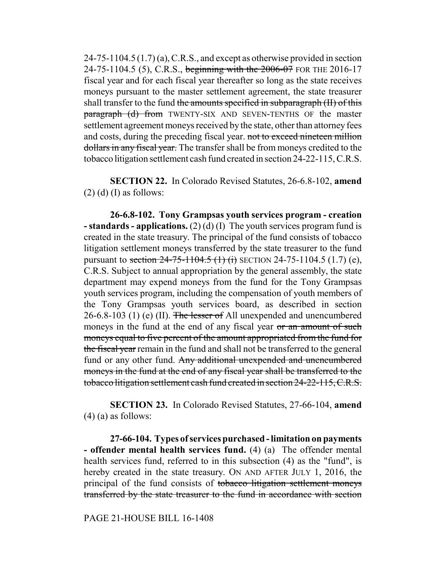$24-75-1104.5(1.7)$  (a), C.R.S., and except as otherwise provided in section 24-75-1104.5 (5), C.R.S., beginning with the 2006-07 FOR THE 2016-17 fiscal year and for each fiscal year thereafter so long as the state receives moneys pursuant to the master settlement agreement, the state treasurer shall transfer to the fund the amounts specified in subparagraph (II) of this paragraph (d) from TWENTY-SIX AND SEVEN-TENTHS OF the master settlement agreement moneys received by the state, other than attorney fees and costs, during the preceding fiscal year. not to exceed nineteen million dollars in any fiscal year. The transfer shall be from moneys credited to the tobacco litigation settlement cash fund created in section 24-22-115, C.R.S.

**SECTION 22.** In Colorado Revised Statutes, 26-6.8-102, **amend**  $(2)$  (d) (I) as follows:

**26-6.8-102. Tony Grampsas youth services program - creation - standards - applications.** (2) (d) (I) The youth services program fund is created in the state treasury. The principal of the fund consists of tobacco litigation settlement moneys transferred by the state treasurer to the fund pursuant to section  $24-75-1104.5$  (1) (i) SECTION 24-75-1104.5 (1.7) (e), C.R.S. Subject to annual appropriation by the general assembly, the state department may expend moneys from the fund for the Tony Grampsas youth services program, including the compensation of youth members of the Tony Grampsas youth services board, as described in section 26-6.8-103 (1) (e) (II). The lesser of All unexpended and unencumbered moneys in the fund at the end of any fiscal year or an amount of such moneys equal to five percent of the amount appropriated from the fund for the fiscal year remain in the fund and shall not be transferred to the general fund or any other fund. Any additional unexpended and unencumbered moneys in the fund at the end of any fiscal year shall be transferred to the tobacco litigation settlement cash fund created in section 24-22-115, C.R.S.

**SECTION 23.** In Colorado Revised Statutes, 27-66-104, **amend**  $(4)$  (a) as follows:

**27-66-104. Types of services purchased - limitation on payments - offender mental health services fund.** (4) (a) The offender mental health services fund, referred to in this subsection (4) as the "fund", is hereby created in the state treasury. On AND AFTER JULY 1, 2016, the principal of the fund consists of tobacco litigation settlement moneys transferred by the state treasurer to the fund in accordance with section

PAGE 21-HOUSE BILL 16-1408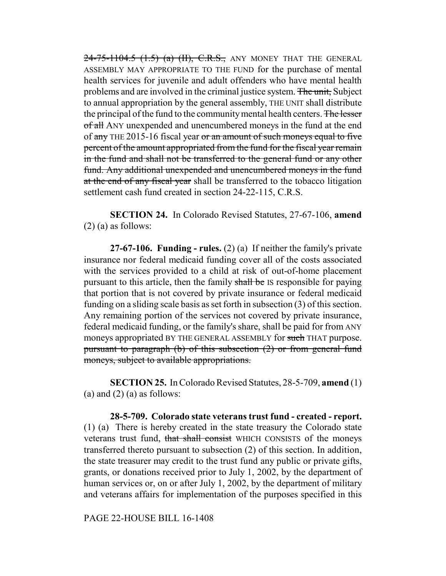$24 - 75 - 1104.5$   $(1.5)$   $(a)$   $(H)$ , C.R.S., ANY MONEY THAT THE GENERAL ASSEMBLY MAY APPROPRIATE TO THE FUND for the purchase of mental health services for juvenile and adult offenders who have mental health problems and are involved in the criminal justice system. The unit, Subject to annual appropriation by the general assembly, THE UNIT shall distribute the principal of the fund to the community mental health centers. The lesser of all ANY unexpended and unencumbered moneys in the fund at the end of any THE 2015-16 fiscal year or an amount of such moneys equal to five percent of the amount appropriated from the fund for the fiscal year remain in the fund and shall not be transferred to the general fund or any other fund. Any additional unexpended and unencumbered moneys in the fund at the end of any fiscal year shall be transferred to the tobacco litigation settlement cash fund created in section 24-22-115, C.R.S.

**SECTION 24.** In Colorado Revised Statutes, 27-67-106, **amend** (2) (a) as follows:

**27-67-106. Funding - rules.** (2) (a) If neither the family's private insurance nor federal medicaid funding cover all of the costs associated with the services provided to a child at risk of out-of-home placement pursuant to this article, then the family shall be IS responsible for paying that portion that is not covered by private insurance or federal medicaid funding on a sliding scale basis as set forth in subsection (3) of this section. Any remaining portion of the services not covered by private insurance, federal medicaid funding, or the family's share, shall be paid for from ANY moneys appropriated BY THE GENERAL ASSEMBLY for such THAT purpose. pursuant to paragraph (b) of this subsection (2) or from general fund moneys, subject to available appropriations.

**SECTION 25.** In Colorado Revised Statutes, 28-5-709, **amend** (1) (a) and  $(2)$  (a) as follows:

**28-5-709. Colorado state veterans trust fund - created - report.** (1) (a) There is hereby created in the state treasury the Colorado state veterans trust fund, that shall consist WHICH CONSISTS of the moneys transferred thereto pursuant to subsection (2) of this section. In addition, the state treasurer may credit to the trust fund any public or private gifts, grants, or donations received prior to July 1, 2002, by the department of human services or, on or after July 1, 2002, by the department of military and veterans affairs for implementation of the purposes specified in this

PAGE 22-HOUSE BILL 16-1408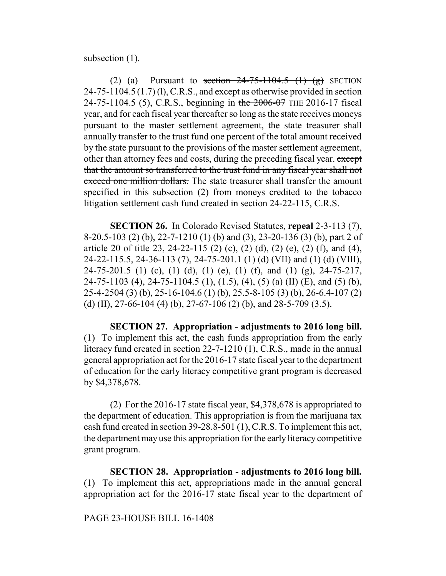subsection  $(1)$ .

(2) (a) Pursuant to section  $24-75-1104.5$  (1) (g) SECTION 24-75-1104.5 (1.7) (l), C.R.S., and except as otherwise provided in section 24-75-1104.5 (5), C.R.S., beginning in the 2006-07 THE 2016-17 fiscal year, and for each fiscal year thereafter so long as the state receives moneys pursuant to the master settlement agreement, the state treasurer shall annually transfer to the trust fund one percent of the total amount received by the state pursuant to the provisions of the master settlement agreement, other than attorney fees and costs, during the preceding fiscal year. except that the amount so transferred to the trust fund in any fiscal year shall not exceed one million dollars. The state treasurer shall transfer the amount specified in this subsection (2) from moneys credited to the tobacco litigation settlement cash fund created in section 24-22-115, C.R.S.

**SECTION 26.** In Colorado Revised Statutes, **repeal** 2-3-113 (7), 8-20.5-103 (2) (b), 22-7-1210 (1) (b) and (3), 23-20-136 (3) (b), part 2 of article 20 of title 23, 24-22-115 (2) (c), (2) (d), (2) (e), (2) (f), and (4), 24-22-115.5, 24-36-113 (7), 24-75-201.1 (1) (d) (VII) and (1) (d) (VIII), 24-75-201.5 (1) (c), (1) (d), (1) (e), (1) (f), and (1) (g), 24-75-217, 24-75-1103 (4), 24-75-1104.5 (1), (1.5), (4), (5) (a) (II) (E), and (5) (b), 25-4-2504 (3) (b), 25-16-104.6 (1) (b), 25.5-8-105 (3) (b), 26-6.4-107 (2) (d) (II), 27-66-104 (4) (b), 27-67-106 (2) (b), and 28-5-709 (3.5).

**SECTION 27. Appropriation - adjustments to 2016 long bill.** (1) To implement this act, the cash funds appropriation from the early literacy fund created in section 22-7-1210 (1), C.R.S., made in the annual general appropriation act for the 2016-17 state fiscal year to the department of education for the early literacy competitive grant program is decreased by \$4,378,678.

(2) For the 2016-17 state fiscal year, \$4,378,678 is appropriated to the department of education. This appropriation is from the marijuana tax cash fund created in section 39-28.8-501 (1), C.R.S. To implement this act, the department may use this appropriation for the early literacy competitive grant program.

**SECTION 28. Appropriation - adjustments to 2016 long bill.** (1) To implement this act, appropriations made in the annual general appropriation act for the 2016-17 state fiscal year to the department of

# PAGE 23-HOUSE BILL 16-1408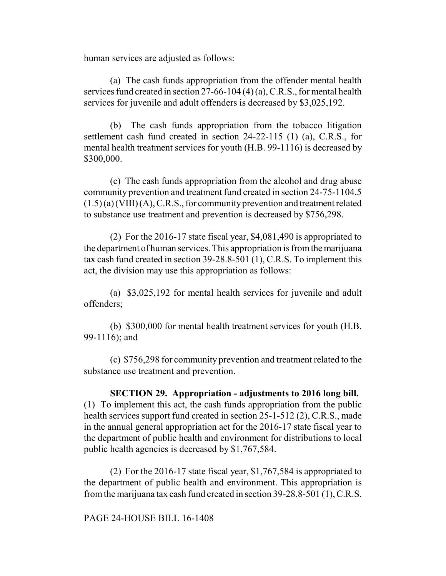human services are adjusted as follows:

(a) The cash funds appropriation from the offender mental health services fund created in section 27-66-104 (4) (a), C.R.S., for mental health services for juvenile and adult offenders is decreased by \$3,025,192.

(b) The cash funds appropriation from the tobacco litigation settlement cash fund created in section 24-22-115 (1) (a), C.R.S., for mental health treatment services for youth (H.B. 99-1116) is decreased by \$300,000.

(c) The cash funds appropriation from the alcohol and drug abuse community prevention and treatment fund created in section 24-75-1104.5  $(1.5)$  (a) (VIII) (A), C.R.S., for community prevention and treatment related to substance use treatment and prevention is decreased by \$756,298.

(2) For the 2016-17 state fiscal year, \$4,081,490 is appropriated to the department of human services. This appropriation is from the marijuana tax cash fund created in section 39-28.8-501 (1), C.R.S. To implement this act, the division may use this appropriation as follows:

(a) \$3,025,192 for mental health services for juvenile and adult offenders;

(b) \$300,000 for mental health treatment services for youth (H.B. 99-1116); and

(c) \$756,298 for community prevention and treatment related to the substance use treatment and prevention.

**SECTION 29. Appropriation - adjustments to 2016 long bill.** (1) To implement this act, the cash funds appropriation from the public health services support fund created in section 25-1-512 (2), C.R.S., made in the annual general appropriation act for the 2016-17 state fiscal year to the department of public health and environment for distributions to local public health agencies is decreased by \$1,767,584.

(2) For the 2016-17 state fiscal year, \$1,767,584 is appropriated to the department of public health and environment. This appropriation is from the marijuana tax cash fund created in section 39-28.8-501 (1), C.R.S.

PAGE 24-HOUSE BILL 16-1408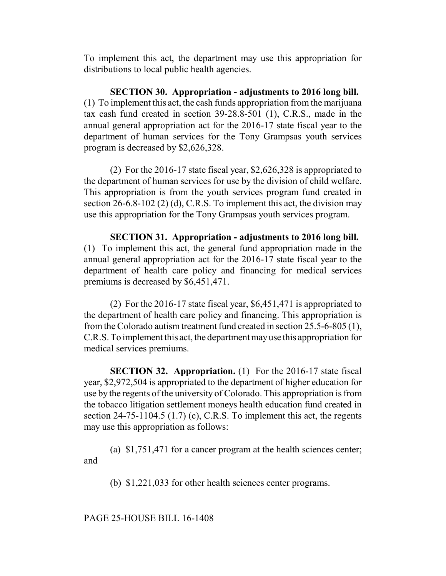To implement this act, the department may use this appropriation for distributions to local public health agencies.

**SECTION 30. Appropriation - adjustments to 2016 long bill.** (1) To implement this act, the cash funds appropriation from the marijuana tax cash fund created in section 39-28.8-501 (1), C.R.S., made in the annual general appropriation act for the 2016-17 state fiscal year to the department of human services for the Tony Grampsas youth services program is decreased by \$2,626,328.

(2) For the 2016-17 state fiscal year, \$2,626,328 is appropriated to the department of human services for use by the division of child welfare. This appropriation is from the youth services program fund created in section 26-6.8-102 (2) (d), C.R.S. To implement this act, the division may use this appropriation for the Tony Grampsas youth services program.

**SECTION 31. Appropriation - adjustments to 2016 long bill.** (1) To implement this act, the general fund appropriation made in the annual general appropriation act for the 2016-17 state fiscal year to the department of health care policy and financing for medical services premiums is decreased by \$6,451,471.

(2) For the 2016-17 state fiscal year, \$6,451,471 is appropriated to the department of health care policy and financing. This appropriation is from the Colorado autism treatment fund created in section 25.5-6-805 (1), C.R.S. To implement this act, the department may use this appropriation for medical services premiums.

**SECTION 32. Appropriation.** (1) For the 2016-17 state fiscal year, \$2,972,504 is appropriated to the department of higher education for use by the regents of the university of Colorado. This appropriation is from the tobacco litigation settlement moneys health education fund created in section 24-75-1104.5 (1.7) (c), C.R.S. To implement this act, the regents may use this appropriation as follows:

(a) \$1,751,471 for a cancer program at the health sciences center; and

(b) \$1,221,033 for other health sciences center programs.

PAGE 25-HOUSE BILL 16-1408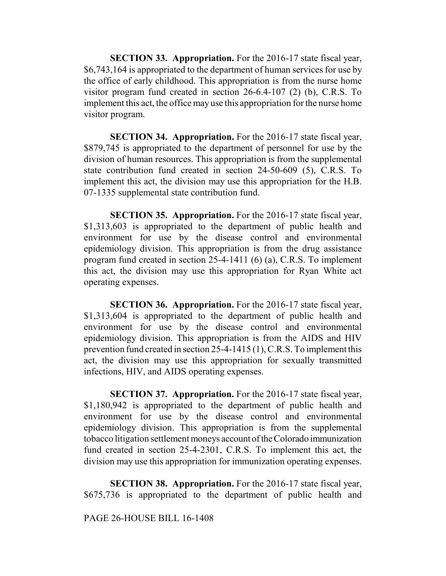**SECTION 33. Appropriation.** For the 2016-17 state fiscal year, \$6,743,164 is appropriated to the department of human services for use by the office of early childhood. This appropriation is from the nurse home visitor program fund created in section 26-6.4-107 (2) (b), C.R.S. To implement this act, the office may use this appropriation for the nurse home visitor program.

**SECTION 34. Appropriation.** For the 2016-17 state fiscal year, \$879,745 is appropriated to the department of personnel for use by the division of human resources. This appropriation is from the supplemental state contribution fund created in section 24-50-609 (5), C.R.S. To implement this act, the division may use this appropriation for the H.B. 07-1335 supplemental state contribution fund.

**SECTION 35. Appropriation.** For the 2016-17 state fiscal year, \$1,313,603 is appropriated to the department of public health and environment for use by the disease control and environmental epidemiology division. This appropriation is from the drug assistance program fund created in section 25-4-1411 (6) (a), C.R.S. To implement this act, the division may use this appropriation for Ryan White act operating expenses.

**SECTION 36. Appropriation.** For the 2016-17 state fiscal year, \$1,313,604 is appropriated to the department of public health and environment for use by the disease control and environmental epidemiology division. This appropriation is from the AIDS and HIV prevention fund created in section 25-4-1415 (1), C.R.S. To implement this act, the division may use this appropriation for sexually transmitted infections, HIV, and AIDS operating expenses.

**SECTION 37. Appropriation.** For the 2016-17 state fiscal year, \$1,180,942 is appropriated to the department of public health and environment for use by the disease control and environmental epidemiology division. This appropriation is from the supplemental tobacco litigation settlement moneys account of the Colorado immunization fund created in section 25-4-2301, C.R.S. To implement this act, the division may use this appropriation for immunization operating expenses.

**SECTION 38. Appropriation.** For the 2016-17 state fiscal year, \$675,736 is appropriated to the department of public health and

#### PAGE 26-HOUSE BILL 16-1408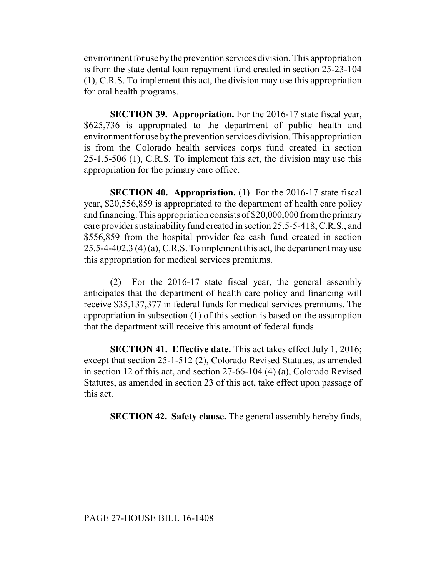environment for use by the prevention services division. This appropriation is from the state dental loan repayment fund created in section 25-23-104 (1), C.R.S. To implement this act, the division may use this appropriation for oral health programs.

**SECTION 39. Appropriation.** For the 2016-17 state fiscal year, \$625,736 is appropriated to the department of public health and environment for use by the prevention services division. This appropriation is from the Colorado health services corps fund created in section 25-1.5-506 (1), C.R.S. To implement this act, the division may use this appropriation for the primary care office.

**SECTION 40. Appropriation.** (1) For the 2016-17 state fiscal year, \$20,556,859 is appropriated to the department of health care policy and financing. This appropriation consists of \$20,000,000 from the primary care provider sustainability fund created in section 25.5-5-418, C.R.S., and \$556,859 from the hospital provider fee cash fund created in section 25.5-4-402.3 (4) (a), C.R.S. To implement this act, the department may use this appropriation for medical services premiums.

(2) For the 2016-17 state fiscal year, the general assembly anticipates that the department of health care policy and financing will receive \$35,137,377 in federal funds for medical services premiums. The appropriation in subsection (1) of this section is based on the assumption that the department will receive this amount of federal funds.

**SECTION 41. Effective date.** This act takes effect July 1, 2016; except that section 25-1-512 (2), Colorado Revised Statutes, as amended in section 12 of this act, and section 27-66-104 (4) (a), Colorado Revised Statutes, as amended in section 23 of this act, take effect upon passage of this act.

**SECTION 42. Safety clause.** The general assembly hereby finds,